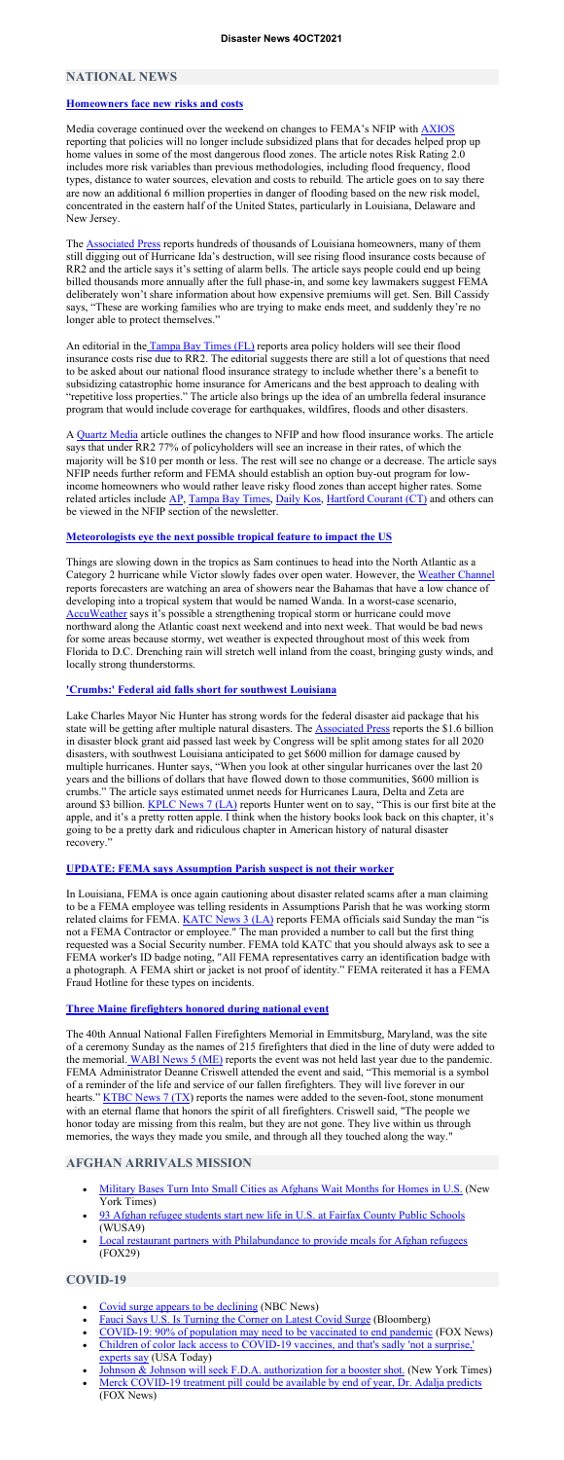### **NATIONAL NEWS**

#### **Homeowners face new risks and costs**

Media coverage continued over the weekend on changes to FEMA's NFIP with AXIOS reporting that policies will no longer include subsidized plans that for decades helped prop up home values in some of the most dangerous flood zones. The article notes Risk Rating 2.0 includes more risk variables than previous methodologies, including flood frequency, flood types, distance to water sources, elevation and costs to rebuild. The article goes on to say there are now an additional 6 million properties in danger of flooding based on the new risk model, concentrated in the eastern half of the United States, particularly in Louisiana, Delaware and New Jersey.

The **Associated Press** reports hundreds of thousands of Louisiana homeowners, many of them still digging out of Hurricane Ida's destruction, will see rising flood insurance costs because of RR2 and the article says it's setting of alarm bells. The article says people could end up being billed thousands more annually after the full phase-in, and some key lawmakers suggest FEMA deliberately won't share information about how expensive premiums will get. Sen. Bill Cassidy says, "These are working families who are trying to make ends meet, and suddenly they're no longer able to protect themselves."

An editorial in the Tampa Bay Times (FL) reports area policy holders will see their flood insurance costs rise due to RR2. The editorial suggests there are still a lot of questions that need to be asked about our national flood insurance strategy to include whether there's a benefit to subsidizing catastrophic home insurance for Americans and the best approach to dealing with "repetitive loss properties." The article also brings up the idea of an umbrella federal insurance program that would include coverage for earthquakes, wildfires, floods and other disasters.

A Quartz Media article outlines the changes to NFIP and how flood insurance works. The article says that under RR2 77% of policyholders will see an increase in their rates, of which the majority will be \$10 per month or less. The rest will see no change or a decrease. The article says NFIP needs further reform and FEMA should establish an option buy-out program for lowincome homeowners who would rather leave risky flood zones than accept higher rates. Some related articles include AP, Tampa Bay Times, Daily Kos, Hartford Courant (CT) and others can be viewed in the NFIP section of the newsletter.

#### **Meteorologists eye the next possible tropical feature to impact the US**

Things are slowing down in the tropics as Sam continues to head into the North Atlantic as a Category 2 hurricane while Victor slowly fades over open water. However, the Weather Channel reports forecasters are watching an area of showers near the Bahamas that have a low chance of developing into a tropical system that would be named Wanda. In a worst-case scenario, AccuWeather says it's possible a strengthening tropical storm or hurricane could move northward along the Atlantic coast next weekend and into next week. That would be bad news for some areas because stormy, wet weather is expected throughout most of this week from Florida to D.C. Drenching rain will stretch well inland from the coast, bringing gusty winds, and locally strong thunderstorms.

- Military Bases Turn Into Small Cities as Afghans Wait Months for Homes in U.S. (New York Times)
- 93 Afghan refugee students start new life in U.S. at Fairfax County Public Schools (WUSA9)
- Local restaurant partners with Philabundance to provide meals for Afghan refugees (FOX29)

### **'Crumbs:' Federal aid falls short for southwest Louisiana**

- Covid surge appears to be declining (NBC News)
- Fauci Says U.S. Is Turning the Corner on Latest Covid Surge (Bloomberg)
- COVID-19: 90% of population may need to be vaccinated to end pandemic (FOX News)
- Children of color lack access to COVID-19 vaccines, and that's sadly 'not a surprise,' experts say (USA Today)
- Johnson & Johnson will seek F.D.A. authorization for a booster shot. (New York Times)
- Merck COVID-19 treatment pill could be available by end of year, Dr. Adalja predicts (FOX News)

Lake Charles Mayor Nic Hunter has strong words for the federal disaster aid package that his state will be getting after multiple natural disasters. The **Associated Press reports the \$1.6 billion** in disaster block grant aid passed last week by Congress will be split among states for all 2020 disasters, with southwest Louisiana anticipated to get \$600 million for damage caused by multiple hurricanes. Hunter says, "When you look at other singular hurricanes over the last 20 years and the billions of dollars that have flowed down to those communities, \$600 million is crumbs." The article says estimated unmet needs for Hurricanes Laura, Delta and Zeta are around \$3 billion. KPLC News 7 (LA) reports Hunter went on to say, "This is our first bite at the apple, and it's a pretty rotten apple. I think when the history books look back on this chapter, it's going to be a pretty dark and ridiculous chapter in American history of natural disaster recovery."

#### **UPDATE: FEMA says Assumption Parish suspect is not their worker**

In Louisiana, FEMA is once again cautioning about disaster related scams after a man claiming to be a FEMA employee was telling residents in Assumptions Parish that he was working storm related claims for FEMA.  $KATC$  News  $3$  (LA) reports FEMA officials said Sunday the man "is not a FEMA Contractor or employee." The man provided a number to call but the first thing requested was a Social Security number. FEMA told KATC that you should always ask to see a FEMA worker's ID badge noting, "All FEMA representatives carry an identification badge with a photograph. A FEMA shirt or jacket is not proof of identity." FEMA reiterated it has a FEMA Fraud Hotline for these types on incidents.

## **Three Maine firefighters honored during national event**

The 40th Annual National Fallen Firefighters Memorial in Emmitsburg, Maryland, was the site of a ceremony Sunday as the names of 215 firefighters that died in the line of duty were added to the memorial. WABI News 5 (ME) reports the event was not held last year due to the pandemic. FEMA Administrator Deanne Criswell attended the event and said, "This memorial is a symbol of a reminder of the life and service of our fallen firefighters. They will live forever in our hearts." KTBC News 7 (TX) reports the names were added to the seven-foot, stone monument with an eternal flame that honors the spirit of all firefighters. Criswell said, "The people we honor today are missing from this realm, but they are not gone. They live within us through memories, the ways they made you smile, and through all they touched along the way."

## **AFGHAN ARRIVALS MISSION**

## **COVID-19**